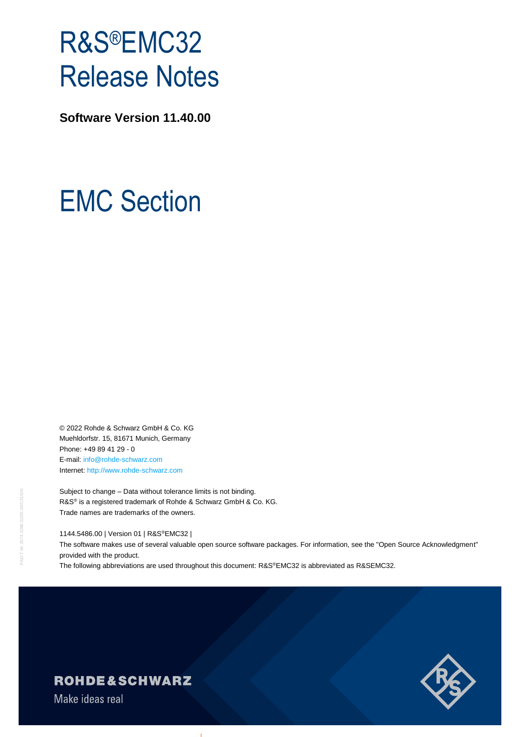# R&S®EMC32 Release Notes

**Software Version 11.40.00**

# EMC Section

© 2022 Rohde & Schwarz GmbH & Co. KG Muehldorfstr. 15, 81671 Munich, Germany Phone: +49 89 41 29 - 0 E-mail: [info@rohde-schwarz.com](mailto:info@rohde-schwarz.com) Internet[: http://www.rohde-schwarz.com](http://www.rohde-schwarz.com/)

Subject to change – Data without tolerance limits is not binding. R&S<sup>®</sup> is a registered trademark of Rohde & Schwarz GmbH & Co. KG. Trade names are trademarks of the owners.

1144.5486.00 | Version 01 | R&S®EMC32 |

The software makes use of several valuable open source software packages. For information, see the "Open Source Acknowledgment" provided with the product.

The following abbreviations are used throughout this document: R&S®EMC32 is abbreviated as R&SEMC32.



PAD-T-M: 3574.3288.02/05.00/CI/1/EN

**T-OAC** 

## **ROHDE&SCHWARZ**

Make ideas real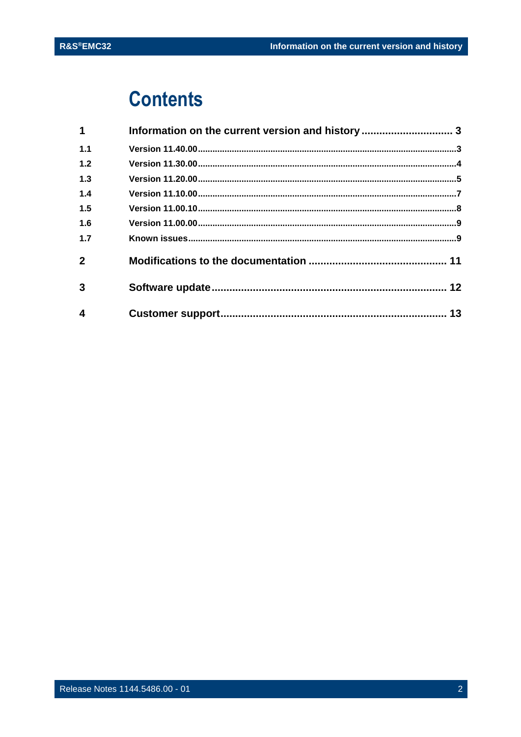## **Contents**

| Information on the current version and history  3 |  |
|---------------------------------------------------|--|
|                                                   |  |
|                                                   |  |
|                                                   |  |
|                                                   |  |
|                                                   |  |
|                                                   |  |
|                                                   |  |
|                                                   |  |
|                                                   |  |
|                                                   |  |
|                                                   |  |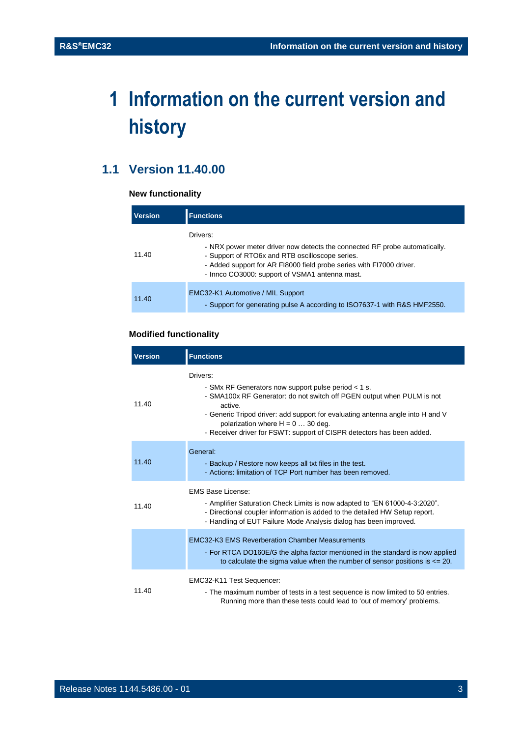## <span id="page-2-0"></span>**1 Information on the current version and history**

## <span id="page-2-1"></span>**1.1 Version 11.40.00**

#### **New functionality**

| <b>Version</b> | <b>Functions</b>                                                                                                                                                                                                                                                    |
|----------------|---------------------------------------------------------------------------------------------------------------------------------------------------------------------------------------------------------------------------------------------------------------------|
| 11.40          | Drivers:<br>- NRX power meter driver now detects the connected RF probe automatically.<br>- Support of RTO6x and RTB oscilloscope series.<br>- Added support for AR FI8000 field probe series with FI7000 driver.<br>- Innco CO3000: support of VSMA1 antenna mast. |
| 11.40          | EMC32-K1 Automotive / MIL Support<br>- Support for generating pulse A according to ISO7637-1 with R&S HMF2550.                                                                                                                                                      |

#### **Modified functionality**

| <b>Version</b> | <b>Functions</b>                                                                                                                                                                                                                                                                                                                                       |
|----------------|--------------------------------------------------------------------------------------------------------------------------------------------------------------------------------------------------------------------------------------------------------------------------------------------------------------------------------------------------------|
| 11.40          | Drivers:<br>- SMx RF Generators now support pulse period < 1 s.<br>- SMA100x RF Generator: do not switch off PGEN output when PULM is not<br>active.<br>- Generic Tripod driver: add support for evaluating antenna angle into H and V<br>polarization where $H = 0$ 30 deg.<br>- Receiver driver for FSWT: support of CISPR detectors has been added. |
| 11.40          | General:<br>- Backup / Restore now keeps all txt files in the test.<br>- Actions: limitation of TCP Port number has been removed.                                                                                                                                                                                                                      |
| 11.40          | EMS Base License:<br>- Amplifier Saturation Check Limits is now adapted to "EN 61000-4-3:2020".<br>- Directional coupler information is added to the detailed HW Setup report.<br>- Handling of EUT Failure Mode Analysis dialog has been improved.                                                                                                    |
|                | <b>EMC32-K3 EMS Reverberation Chamber Measurements</b><br>- For RTCA DO160E/G the alpha factor mentioned in the standard is now applied<br>to calculate the sigma value when the number of sensor positions is $\leq$ 20.                                                                                                                              |
| 11.40          | EMC32-K11 Test Sequencer:<br>- The maximum number of tests in a test sequence is now limited to 50 entries.<br>Running more than these tests could lead to 'out of memory' problems.                                                                                                                                                                   |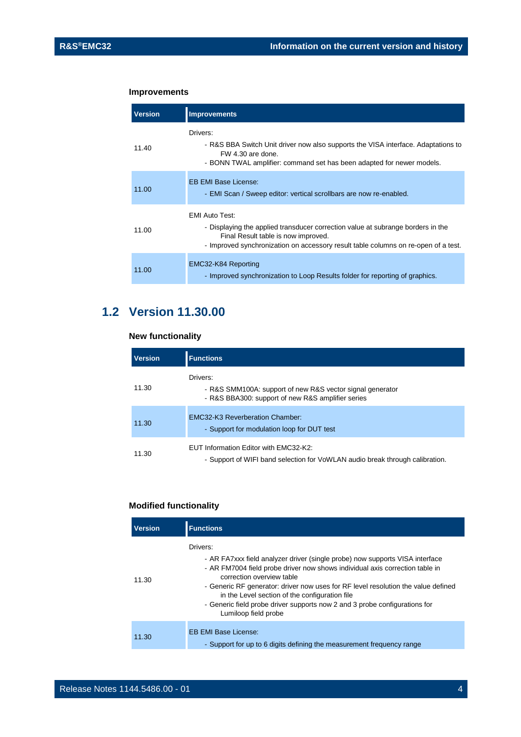#### **Improvements**

| <b>Version</b> | <b>Improvements</b>                                                                                                                                                                                                                   |
|----------------|---------------------------------------------------------------------------------------------------------------------------------------------------------------------------------------------------------------------------------------|
| 11.40          | Drivers:<br>- R&S BBA Switch Unit driver now also supports the VISA interface. Adaptations to<br>FW 4.30 are done.<br>- BONN TWAL amplifier: command set has been adapted for newer models.                                           |
| 11.00          | <b>EB EMI Base License:</b><br>- EMI Scan / Sweep editor: vertical scrollbars are now re-enabled.                                                                                                                                     |
| 11.00          | <b>EMI Auto Test:</b><br>- Displaying the applied transducer correction value at subrange borders in the<br>Final Result table is now improved.<br>- Improved synchronization on accessory result table columns on re-open of a test. |
| 11.00          | EMC32-K84 Reporting<br>- Improved synchronization to Loop Results folder for reporting of graphics.                                                                                                                                   |

### <span id="page-3-0"></span>**1.2 Version 11.30.00**

#### **New functionality**

| <b>Version</b> | <b>Functions</b>                                                                                                           |
|----------------|----------------------------------------------------------------------------------------------------------------------------|
| 11.30          | Drivers:<br>- R&S SMM100A: support of new R&S vector signal generator<br>- R&S BBA300: support of new R&S amplifier series |
| 11.30          | <b>EMC32-K3 Reverberation Chamber:</b><br>- Support for modulation loop for DUT test                                       |
| 11.30          | EUT Information Editor with EMC32-K2:<br>- Support of WIFI band selection for VoWLAN audio break through calibration.      |

#### **Modified functionality**

| <b>Version</b> | <b>Functions</b>                                                                                                                                                                                                                                                                                                                                                                                                                                   |
|----------------|----------------------------------------------------------------------------------------------------------------------------------------------------------------------------------------------------------------------------------------------------------------------------------------------------------------------------------------------------------------------------------------------------------------------------------------------------|
| 11.30          | Drivers:<br>- AR FA7xxx field analyzer driver (single probe) now supports VISA interface<br>- AR FM7004 field probe driver now shows individual axis correction table in<br>correction overview table<br>- Generic RF generator: driver now uses for RF level resolution the value defined<br>in the Level section of the configuration file<br>- Generic field probe driver supports now 2 and 3 probe configurations for<br>Lumiloop field probe |
| 11.30          | <b>EB EMI Base License:</b><br>- Support for up to 6 digits defining the measurement frequency range                                                                                                                                                                                                                                                                                                                                               |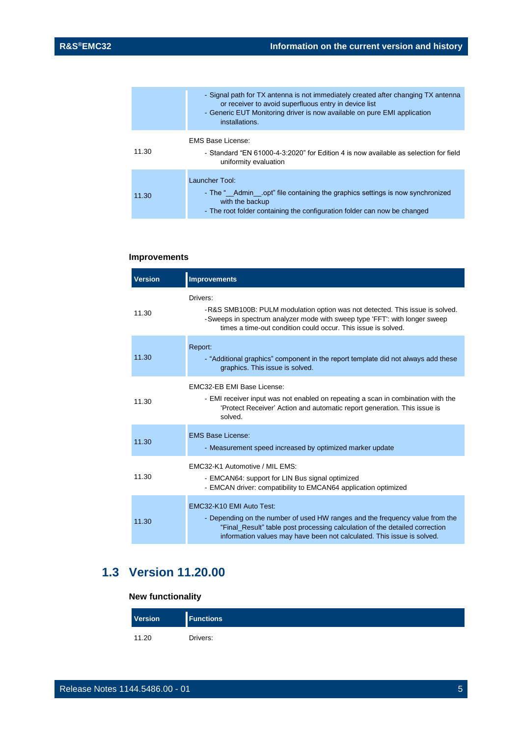|       | - Signal path for TX antenna is not immediately created after changing TX antenna<br>or receiver to avoid superfluous entry in device list<br>- Generic EUT Monitoring driver is now available on pure EMI application<br>installations. |
|-------|------------------------------------------------------------------------------------------------------------------------------------------------------------------------------------------------------------------------------------------|
| 11.30 | EMS Base License:<br>- Standard "EN 61000-4-3:2020" for Edition 4 is now available as selection for field<br>uniformity evaluation                                                                                                       |
| 11.30 | Launcher Tool:<br>- The " Admin opt" file containing the graphics settings is now synchronized<br>with the backup<br>- The root folder containing the configuration folder can now be changed                                            |

#### **Improvements**

| <b>Version</b> | <b>Improvements</b>                                                                                                                                                                                                                                               |
|----------------|-------------------------------------------------------------------------------------------------------------------------------------------------------------------------------------------------------------------------------------------------------------------|
| 11.30          | Drivers:<br>-R&S SMB100B: PULM modulation option was not detected. This issue is solved.<br>-Sweeps in spectrum analyzer mode with sweep type 'FFT': with longer sweep<br>times a time-out condition could occur. This issue is solved.                           |
| 11.30          | Report:<br>- "Additional graphics" component in the report template did not always add these<br>graphics. This issue is solved.                                                                                                                                   |
| 11.30          | EMC32-EB EMI Base License:<br>- EMI receiver input was not enabled on repeating a scan in combination with the<br>'Protect Receiver' Action and automatic report generation. This issue is<br>solved.                                                             |
| 11.30          | <b>EMS Base License:</b><br>- Measurement speed increased by optimized marker update                                                                                                                                                                              |
| 11.30          | FMC32-K1 Automotive / MIL FMS:<br>- EMCAN64: support for LIN Bus signal optimized<br>- EMCAN driver: compatibility to EMCAN64 application optimized                                                                                                               |
| 11.30          | EMC32-K10 EMI Auto Test:<br>- Depending on the number of used HW ranges and the frequency value from the<br>"Final_Result" table post processing calculation of the detailed correction<br>information values may have been not calculated. This issue is solved. |

## <span id="page-4-0"></span>**1.3 Version 11.20.00**

#### **New functionality**

| Version | <b>Functions</b> |
|---------|------------------|
| 11.20   | Drivers:         |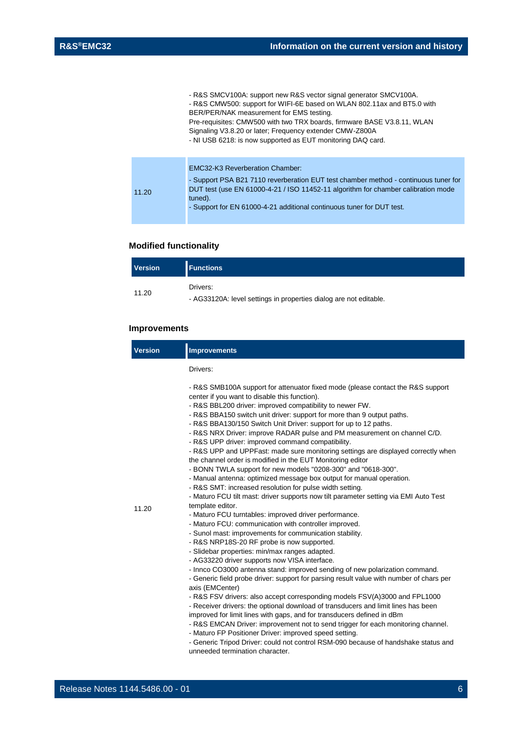|      | - R&S SMCV100A: support new R&S vector signal generator SMCV100A.<br>- R&S CMW500: support for WIFI-6E based on WLAN 802.11ax and BT5.0 with<br>BER/PER/NAK measurement for EMS testing.<br>Pre-requisites: CMW500 with two TRX boards, firmware BASE V3.8.11, WLAN<br>Signaling V3.8.20 or later; Frequency extender CMW-Z800A<br>- NI USB 6218: is now supported as EUT monitoring DAQ card. |
|------|------------------------------------------------------------------------------------------------------------------------------------------------------------------------------------------------------------------------------------------------------------------------------------------------------------------------------------------------------------------------------------------------|
| 1.20 | <b>EMC32-K3 Reverberation Chamber:</b><br>- Support PSA B21 7110 reverberation EUT test chamber method - continuous tuner for<br>DUT test (use EN 61000-4-21 / ISO 11452-11 algorithm for chamber calibration mode<br>tuned).                                                                                                                                                                  |
|      | - Support for EN 61000-4-21 additional continuous tuner for DUT test.                                                                                                                                                                                                                                                                                                                          |

#### **Modified functionality**

| <b>Version</b> | <b>Functions</b>                                                  |
|----------------|-------------------------------------------------------------------|
| 11.20          | Drivers:                                                          |
|                | - AG33120A: level settings in properties dialog are not editable. |

#### **Improvements**

 $\overline{1}$ 

| <b>Version</b> | <b>Improvements</b>                                                                                                                                                                                                                                                                                                                                                                                                                                                                                                                                                                                                                                                                                                                                                                                                                                                                                                                                                                                      |
|----------------|----------------------------------------------------------------------------------------------------------------------------------------------------------------------------------------------------------------------------------------------------------------------------------------------------------------------------------------------------------------------------------------------------------------------------------------------------------------------------------------------------------------------------------------------------------------------------------------------------------------------------------------------------------------------------------------------------------------------------------------------------------------------------------------------------------------------------------------------------------------------------------------------------------------------------------------------------------------------------------------------------------|
|                | Drivers:                                                                                                                                                                                                                                                                                                                                                                                                                                                                                                                                                                                                                                                                                                                                                                                                                                                                                                                                                                                                 |
| 11.20          | - R&S SMB100A support for attenuator fixed mode (please contact the R&S support<br>center if you want to disable this function).<br>- R&S BBL200 driver: improved compatibility to newer FW.<br>- R&S BBA150 switch unit driver: support for more than 9 output paths.<br>- R&S BBA130/150 Switch Unit Driver: support for up to 12 paths.<br>- R&S NRX Driver: improve RADAR pulse and PM measurement on channel C/D.<br>- R&S UPP driver: improved command compatibility.<br>- R&S UPP and UPPFast: made sure monitoring settings are displayed correctly when<br>the channel order is modified in the EUT Monitoring editor<br>- BONN TWLA support for new models "0208-300" and "0618-300".<br>- Manual antenna: optimized message box output for manual operation.<br>- R&S SMT: increased resolution for pulse width setting.<br>- Maturo FCU tilt mast: driver supports now tilt parameter setting via EMI Auto Test<br>template editor.<br>- Maturo FCU turntables: improved driver performance. |
|                | - Maturo FCU: communication with controller improved.<br>- Sunol mast: improvements for communication stability.<br>- R&S NRP18S-20 RF probe is now supported.<br>- Slidebar properties: min/max ranges adapted.<br>- AG33220 driver supports now VISA interface.<br>- Innco CO3000 antenna stand: improved sending of new polarization command.<br>- Generic field probe driver: support for parsing result value with number of chars per<br>axis (EMCenter)<br>- R&S FSV drivers: also accept corresponding models FSV(A)3000 and FPL1000<br>- Receiver drivers: the optional download of transducers and limit lines has been<br>improved for limit lines with gaps, and for transducers defined in dBm<br>- R&S EMCAN Driver: improvement not to send trigger for each monitoring channel.<br>- Maturo FP Positioner Driver: improved speed setting.<br>- Generic Tripod Driver: could not control RSM-090 because of handshake status and<br>unneeded termination character.                       |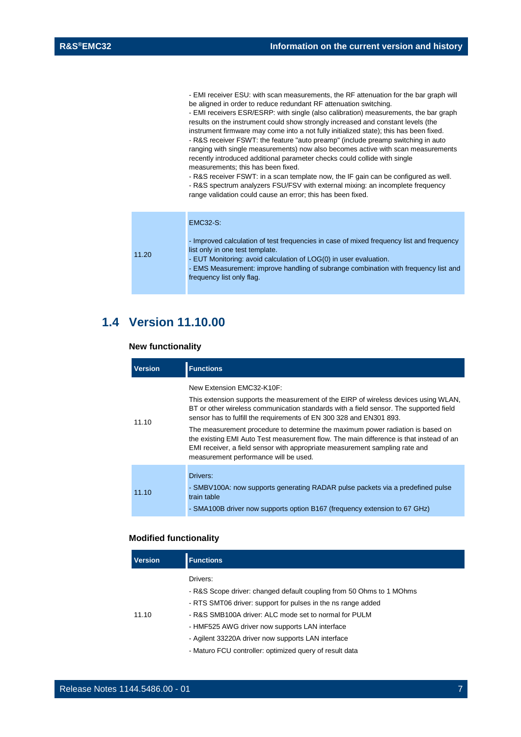- EMI receiver ESU: with scan measurements, the RF attenuation for the bar graph will be aligned in order to reduce redundant RF attenuation switching.

- EMI receivers ESR/ESRP: with single (also calibration) measurements, the bar graph results on the instrument could show strongly increased and constant levels (the instrument firmware may come into a not fully initialized state); this has been fixed. - R&S receiver FSWT: the feature "auto preamp" (include preamp switching in auto ranging with single measurements) now also becomes active with scan measurements recently introduced additional parameter checks could collide with single measurements; this has been fixed.

- R&S receiver FSWT: in a scan template now, the IF gain can be configured as well. - R&S spectrum analyzers FSU/FSV with external mixing: an incomplete frequency range validation could cause an error; this has been fixed.

|       | <b>EMC32-S:</b>                                                                                                                                                                                                                                                                                                      |
|-------|----------------------------------------------------------------------------------------------------------------------------------------------------------------------------------------------------------------------------------------------------------------------------------------------------------------------|
| 11.20 | - Improved calculation of test frequencies in case of mixed frequency list and frequency<br>list only in one test template.<br>- EUT Monitoring: avoid calculation of LOG(0) in user evaluation.<br>- EMS Measurement: improve handling of subrange combination with frequency list and<br>frequency list only flag. |

### <span id="page-6-0"></span>**1.4 Version 11.10.00**

#### **New functionality**

| <b>Version</b> | <b>Functions</b>                                                                                                                                                                                                                                                                                                                                                                                                                                                                                                                                                                     |  |  |
|----------------|--------------------------------------------------------------------------------------------------------------------------------------------------------------------------------------------------------------------------------------------------------------------------------------------------------------------------------------------------------------------------------------------------------------------------------------------------------------------------------------------------------------------------------------------------------------------------------------|--|--|
| 11.10          | New Extension FMC32-K10F:<br>This extension supports the measurement of the EIRP of wireless devices using WLAN,<br>BT or other wireless communication standards with a field sensor. The supported field<br>sensor has to fulfill the requirements of EN 300 328 and EN301 893.<br>The measurement procedure to determine the maximum power radiation is based on<br>the existing EMI Auto Test measurement flow. The main difference is that instead of an<br>EMI receiver, a field sensor with appropriate measurement sampling rate and<br>measurement performance will be used. |  |  |
| 11.10          | Drivers:<br>- SMBV100A: now supports generating RADAR pulse packets via a predefined pulse<br>train table<br>- SMA100B driver now supports option B167 (frequency extension to 67 GHz)                                                                                                                                                                                                                                                                                                                                                                                               |  |  |

#### **Modified functionality**

| <b>Version</b> | <b>Functions</b>                                                                                                                                                                                                                                                                                                                                                             |
|----------------|------------------------------------------------------------------------------------------------------------------------------------------------------------------------------------------------------------------------------------------------------------------------------------------------------------------------------------------------------------------------------|
| 11.10          | Drivers:<br>- R&S Scope driver: changed default coupling from 50 Ohms to 1 MOhms<br>- RTS SMT06 driver: support for pulses in the ns range added<br>- R&S SMB100A driver: ALC mode set to normal for PULM<br>- HMF525 AWG driver now supports LAN interface<br>- Agilent 33220A driver now supports LAN interface<br>- Maturo FCU controller: optimized query of result data |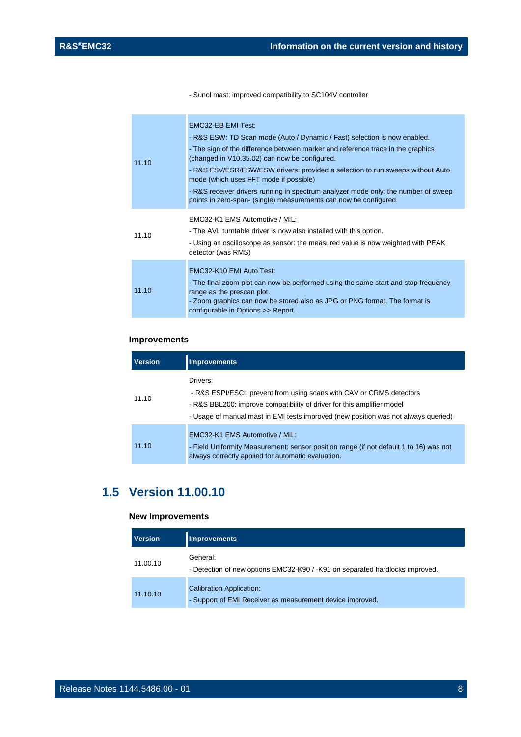- Sunol mast: improved compatibility to SC104V controller

| 11.10 | EMC32-EB EMI Test:<br>- R&S ESW: TD Scan mode (Auto / Dynamic / Fast) selection is now enabled.<br>- The sign of the difference between marker and reference trace in the graphics<br>(changed in V10.35.02) can now be configured.<br>- R&S FSV/ESR/FSW/ESW drivers: provided a selection to run sweeps without Auto<br>mode (which uses FFT mode if possible)<br>- R&S receiver drivers running in spectrum analyzer mode only: the number of sweep<br>points in zero-span- (single) measurements can now be configured |
|-------|---------------------------------------------------------------------------------------------------------------------------------------------------------------------------------------------------------------------------------------------------------------------------------------------------------------------------------------------------------------------------------------------------------------------------------------------------------------------------------------------------------------------------|
| 11.10 | EMC32-K1 EMS Automotive / MIL:<br>- The AVL turntable driver is now also installed with this option.<br>- Using an oscilloscope as sensor: the measured value is now weighted with PEAK<br>detector (was RMS)                                                                                                                                                                                                                                                                                                             |
| 11.10 | EMC32-K10 EMI Auto Test:<br>- The final zoom plot can now be performed using the same start and stop frequency<br>range as the prescan plot.<br>- Zoom graphics can now be stored also as JPG or PNG format. The format is<br>configurable in Options >> Report.                                                                                                                                                                                                                                                          |

#### **Improvements**

| <b>Version</b> | <b>Improvements</b>                                                                                                                                                                                                                              |  |
|----------------|--------------------------------------------------------------------------------------------------------------------------------------------------------------------------------------------------------------------------------------------------|--|
| 11.10          | Drivers:<br>- R&S ESPI/ESCI: prevent from using scans with CAV or CRMS detectors<br>- R&S BBL200: improve compatibility of driver for this amplifier model<br>- Usage of manual mast in EMI tests improved (new position was not always queried) |  |
| 11.10          | EMC32-K1 EMS Automotive / MIL:<br>- Field Uniformity Measurement: sensor position range (if not default 1 to 16) was not<br>always correctly applied for automatic evaluation.                                                                   |  |

## <span id="page-7-0"></span>**1.5 Version 11.00.10**

#### **New Improvements**

| <b>Version</b> | <b>Improvements</b>                                                                          |
|----------------|----------------------------------------------------------------------------------------------|
| 11.00.10       | General:<br>- Detection of new options EMC32-K90 / -K91 on separated hardlocks improved.     |
| 11.10.10       | <b>Calibration Application:</b><br>- Support of EMI Receiver as measurement device improved. |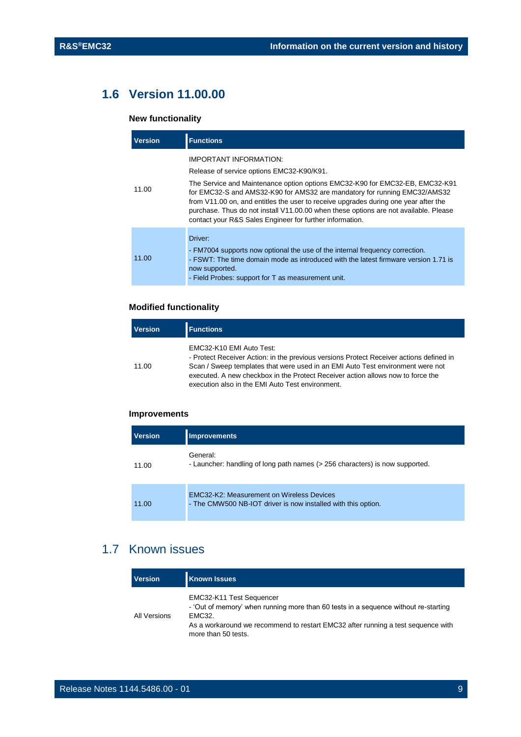## <span id="page-8-0"></span>**1.6 Version 11.00.00**

#### **New functionality**

| <b>Version</b> | <b>Functions</b>                                                                                                                                                                                                                                                                                                                                                                                                                                                            |
|----------------|-----------------------------------------------------------------------------------------------------------------------------------------------------------------------------------------------------------------------------------------------------------------------------------------------------------------------------------------------------------------------------------------------------------------------------------------------------------------------------|
| 11.00          | IMPORTANT INFORMATION:<br>Release of service options EMC32-K90/K91.<br>The Service and Maintenance option options EMC32-K90 for EMC32-EB, EMC32-K91<br>for EMC32-S and AMS32-K90 for AMS32 are mandatory for running EMC32/AMS32<br>from V11.00 on, and entitles the user to receive upgrades during one year after the<br>purchase. Thus do not install V11.00.00 when these options are not available. Please<br>contact your R&S Sales Engineer for further information. |
| 11.00          | Driver:<br>- FM7004 supports now optional the use of the internal frequency correction.<br>- FSWT: The time domain mode as introduced with the latest firmware version 1.71 is<br>now supported.<br>- Field Probes: support for T as measurement unit.                                                                                                                                                                                                                      |

#### **Modified functionality**

| <b>Version</b> | <b>Functions</b>                                                                                                                                                                                                                                                                                                                             |
|----------------|----------------------------------------------------------------------------------------------------------------------------------------------------------------------------------------------------------------------------------------------------------------------------------------------------------------------------------------------|
| 11.00          | EMC32-K10 EMI Auto Test:<br>- Protect Receiver Action: in the previous versions Protect Receiver actions defined in<br>Scan / Sweep templates that were used in an EMI Auto Test environment were not<br>executed. A new checkbox in the Protect Receiver action allows now to force the<br>execution also in the EMI Auto Test environment. |

#### **Improvements**

| <b>Version</b> | <b>Improvements</b>                                                                                               |
|----------------|-------------------------------------------------------------------------------------------------------------------|
| 11.00          | General:<br>- Launcher: handling of long path names (> 256 characters) is now supported.                          |
| 11.00          | <b>EMC32-K2: Measurement on Wireless Devices</b><br>- The CMW500 NB-IOT driver is now installed with this option. |

### <span id="page-8-1"></span>1.7 Known issues

| <b>Version</b> | <b>Known Issues</b>                                                                                                                                                                                                                  |
|----------------|--------------------------------------------------------------------------------------------------------------------------------------------------------------------------------------------------------------------------------------|
| All Versions   | EMC32-K11 Test Sequencer<br>- 'Out of memory' when running more than 60 tests in a sequence without re-starting<br>EMC32.<br>As a workaround we recommend to restart EMC32 after running a test sequence with<br>more than 50 tests. |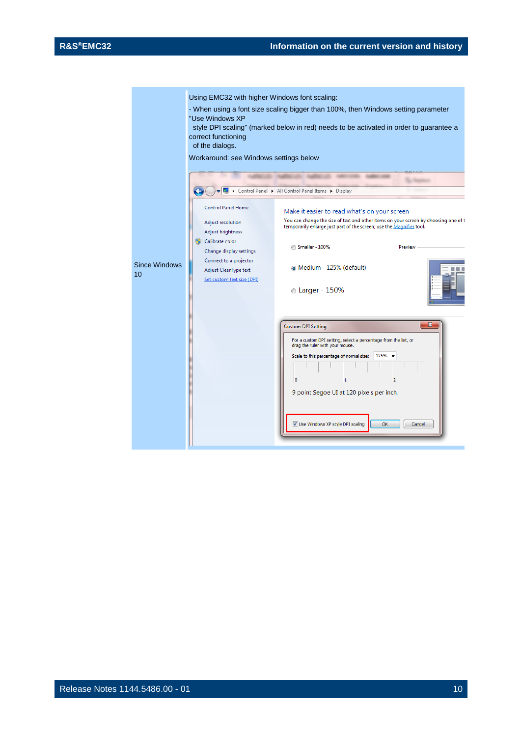|                            | Using EMC32 with higher Windows font scaling:<br>"Use Windows XP<br>correct functioning<br>of the dialogs.<br>Workaround: see Windows settings below                                               | - When using a font size scaling bigger than 100%, then Windows setting parameter<br>style DPI scaling" (marked below in red) needs to be activated in order to guarantee a<br>Control Panel > All Control Panel Items > Display                                                                                                                       |  |
|----------------------------|----------------------------------------------------------------------------------------------------------------------------------------------------------------------------------------------------|--------------------------------------------------------------------------------------------------------------------------------------------------------------------------------------------------------------------------------------------------------------------------------------------------------------------------------------------------------|--|
| <b>Since Windows</b><br>10 | <b>Control Panel Home</b><br>Adjust resolution<br>Adjust brightness<br>Calibrate color<br>Change display settings<br>Connect to a projector<br>Adjust ClearType text<br>Set custom text size (DPI) | Make it easier to read what's on your screen<br>You can change the size of text and other items on your screen by choosing one of t<br>temporarily enlarge just part of the screen, use the Magnifier tool.<br>Smaller - 100%<br>Preview<br>• Medium - 125% (default)<br><b>Carger - 150%</b>                                                          |  |
|                            |                                                                                                                                                                                                    | $\overline{\mathbf{x}}$<br><b>Custom DPI Setting</b><br>For a custom DPI setting, select a percentage from the list, or<br>drag the ruler with your mouse.<br>Scale to this percentage of normal size:<br>125%<br>$\mathbf{1}$<br>١o<br>$\overline{2}$<br>9 point Segoe UI at 120 pixels per inch.<br>Use Windows XP style DPI scaling<br>OK<br>Cancel |  |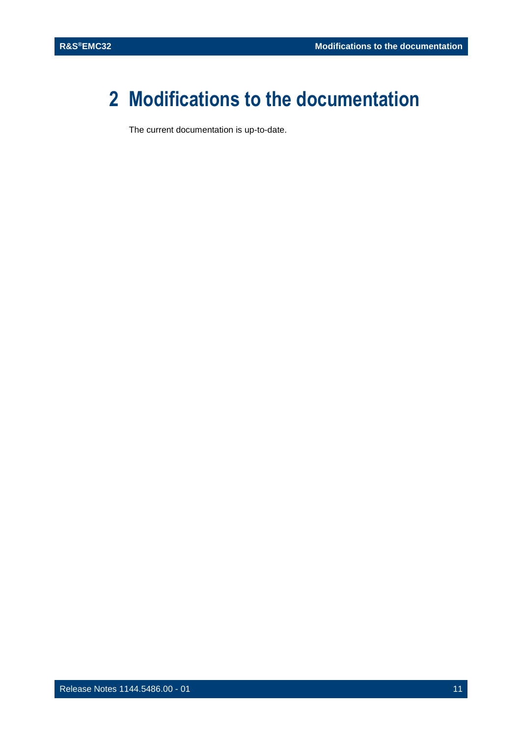## <span id="page-10-0"></span>**2 Modifications to the documentation**

The current documentation is up-to-date.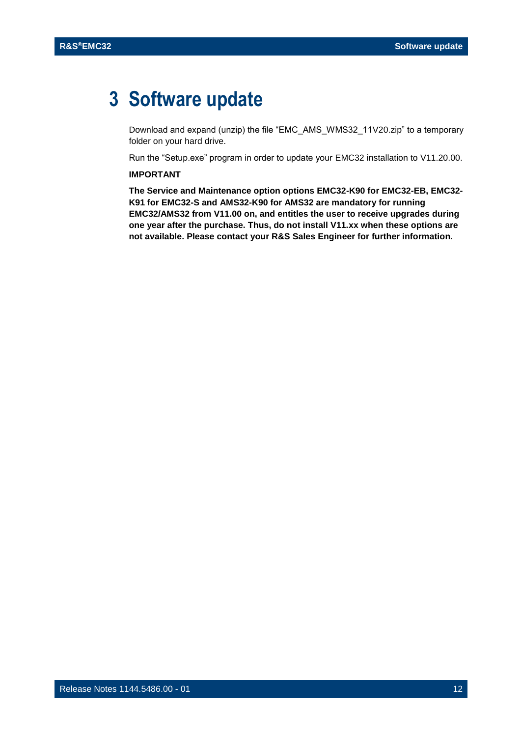## <span id="page-11-0"></span>**3 Software update**

Download and expand (unzip) the file "EMC\_AMS\_WMS32\_11V20.zip" to a temporary folder on your hard drive.

Run the "Setup.exe" program in order to update your EMC32 installation to V11.20.00.

#### **IMPORTANT**

**The Service and Maintenance option options EMC32-K90 for EMC32-EB, EMC32- K91 for EMC32-S and AMS32-K90 for AMS32 are mandatory for running EMC32/AMS32 from V11.00 on, and entitles the user to receive upgrades during one year after the purchase. Thus, do not install V11.xx when these options are not available. Please contact your R&S Sales Engineer for further information.**